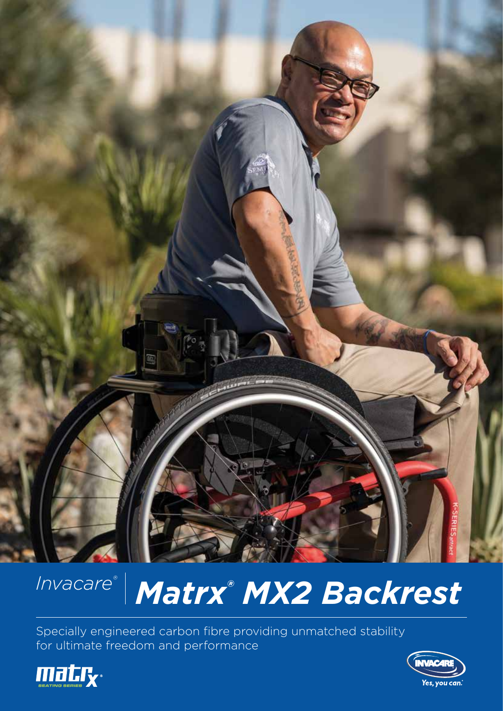

# *Invacare®* | Matrx® MX2 Backrest

Specially engineered carbon fibre providing unmatched stability for ultimate freedom and performance



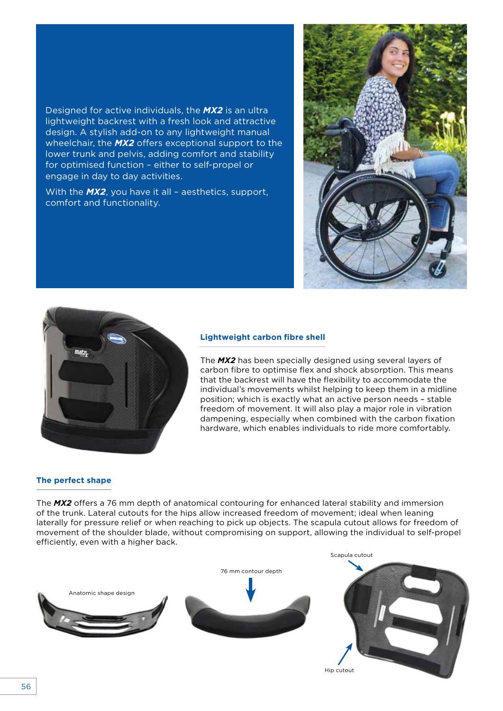Designed for active individuals, the *MX2* is an ultra lightweight backrest with a fresh look and attractive design. A stylish add-on to any lightweight manual wheelchair, the *MX2* offers exceptional support to the lower trunk and pelvis, adding comfort and stability for optimised function – either to self-propel or engage in day to day activities.

With the *MX2*, you have it all – aesthetics, support, comfort and functionality.





#### **Lightweight carbon fibre shell**

The *MX2* has been specially designed using several layers of carbon fibre to optimise flex and shock absorption. This means that the backrest will have the flexibility to accommodate the individual's movements whilst helping to keep them in a midline position; which is exactly what an active person needs – stable freedom of movement. It will also play a major role in vibration dampening, especially when combined with the carbon fixation hardware, which enables individuals to ride more comfortably.

#### **The perfect shape**

The *MX2* offers a 76 mm depth of anatomical contouring for enhanced lateral stability and immersion of the trunk. Lateral cutouts for the hips allow increased freedom of movement; ideal when leaning laterally for pressure relief or when reaching to pick up objects. The scapula cutout allows for freedom of movement of the shoulder blade, without compromising on support, allowing the individual to self-propel efficiently, even with a higher back.

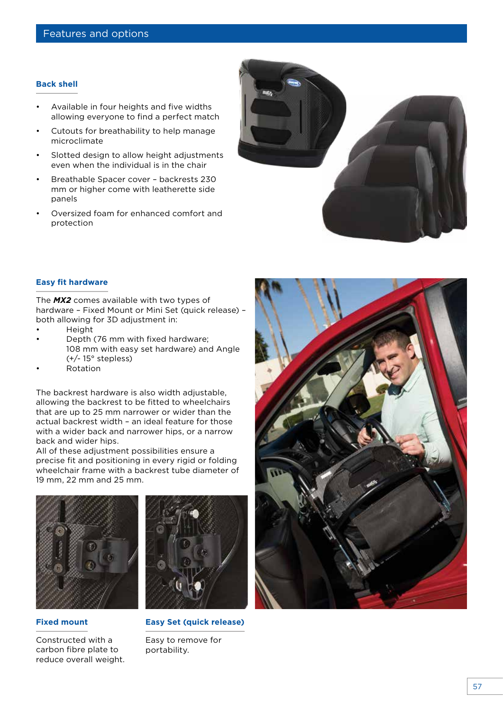### **Back shell**

- Available in four heights and five widths allowing everyone to find a perfect match
- Cutouts for breathability to help manage microclimate
- Slotted design to allow height adjustments even when the individual is in the chair
- Breathable Spacer cover backrests 230 mm or higher come with leatherette side panels
- Oversized foam for enhanced comfort and protection



#### **Easy fit hardware**

The *MX2* comes available with two types of hardware – Fixed Mount or Mini Set (quick release) – both allowing for 3D adjustment in:

- **Height**
- Depth (76 mm with fixed hardware; 108 mm with easy set hardware) and Angle (+/- 15° stepless)
- Rotation

The backrest hardware is also width adjustable, allowing the backrest to be fitted to wheelchairs that are up to 25 mm narrower or wider than the actual backrest width – an ideal feature for those with a wider back and narrower hips, or a narrow back and wider hips.

All of these adjustment possibilities ensure a precise fit and positioning in every rigid or folding wheelchair frame with a backrest tube diameter of 19 mm, 22 mm and 25 mm.



## **Fixed mount**

Constructed with a carbon fibre plate to reduce overall weight.



**Easy Set (quick release)**

Easy to remove for portability.